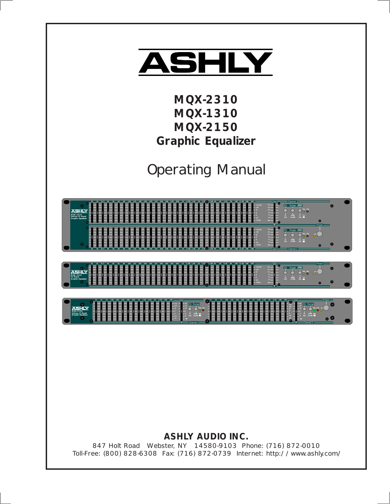

**MQX-2310 MQX-1310 MQX-2150 Graphic Equalizer**

Operating Manual





**±15dB**

Channel 1

**dB**

**±15dB**

**Out**

**dB**

**±15dB**

Channel 2

**MQX 1310 31 Band Graphic Equalizer**

# **ASHLY AUDIO INC.**

847 Holt Road Webster, NY 14580-9103 Phone: (716) 872-0010 Toll-Free: (800) 828-6308 Fax: (716) 872-0739 Internet: http://www.ashly.com/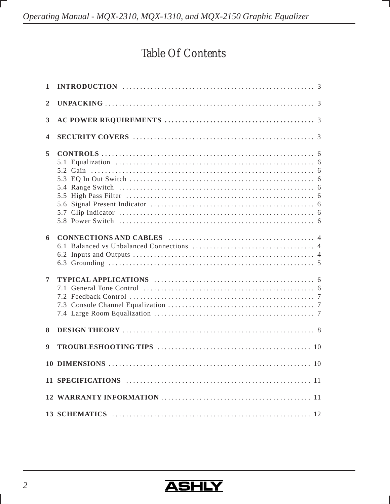# Table Of Contents

| 1                       |  |
|-------------------------|--|
| 2                       |  |
| 3                       |  |
| $\overline{\mathbf{4}}$ |  |
| 5                       |  |
| 6                       |  |
| 7                       |  |
| 8                       |  |
| 9                       |  |
|                         |  |
|                         |  |
|                         |  |
|                         |  |

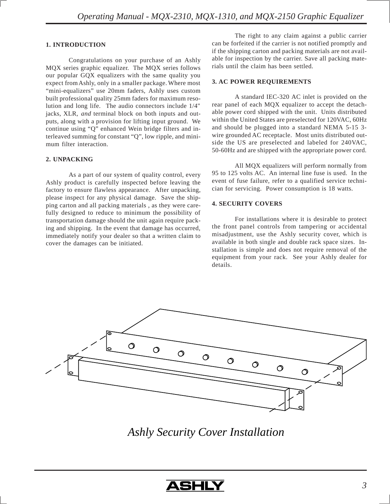#### **1. INTRODUCTION**

Congratulations on your purchase of an Ashly MQX series graphic equalizer. The MQX series follows our popular GQX equalizers with the same quality you expect from Ashly, only in a smaller package. Where most "mini-equalizers" use 20mm faders, Ashly uses custom built professional quality 25mm faders for maximum resolution and long life. The audio connectors include 1/4" jacks, XLR, *and* terminal block on both inputs and outputs, along with a provision for lifting input ground. We continue using "Q" enhanced Wein bridge filters and interleaved summing for constant "Q", low ripple, and minimum filter interaction.

#### **2. UNPACKING**

As a part of our system of quality control, every Ashly product is carefully inspected before leaving the factory to ensure flawless appearance. After unpacking, please inspect for any physical damage. Save the shipping carton and all packing materials , as they were carefully designed to reduce to minimum the possibility of transportation damage should the unit again require packing and shipping. In the event that damage has occurred, immediately notify your dealer so that a written claim to cover the damages can be initiated.

The right to any claim against a public carrier can be forfeited if the carrier is not notified promptly and if the shipping carton and packing materials are not available for inspection by the carrier. Save all packing materials until the claim has been settled.

#### **3. AC POWER REQUIREMENTS**

A standard IEC-320 AC inlet is provided on the rear panel of each MQX equalizer to accept the detachable power cord shipped with the unit. Units distributed within the United States are preselected for 120VAC, 60Hz and should be plugged into a standard NEMA 5-15 3 wire grounded AC receptacle. Most units distributed outside the US are preselected and labeled for 240VAC, 50-60Hz and are shipped with the appropriate power cord.

All MQX equalizers will perform normally from 95 to 125 volts AC. An internal line fuse is used. In the event of fuse failure, refer to a qualified service technician for servicing. Power consumption is 18 watts.

#### **4. SECURITY COVERS**

For installations where it is desirable to protect the front panel controls from tampering or accidental misadjustment, use the Ashly security cover, which is available in both single and double rack space sizes. Installation is simple and does not require removal of the equipment from your rack. See your Ashly dealer for details.



*Ashly Security Cover Installation*

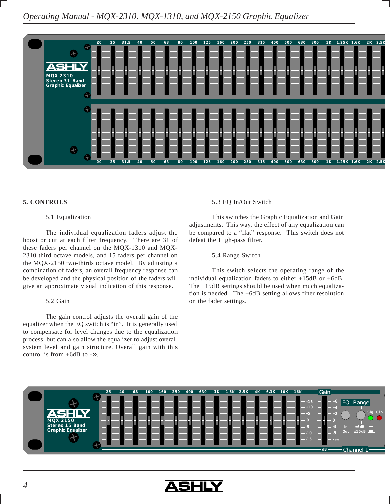

#### **5. CONTROLS**

#### 5.1 Equalization

The individual equalization faders adjust the boost or cut at each filter frequency. There are 31 of these faders per channel on the MQX-1310 and MQX-2310 third octave models, and 15 faders per channel on the MQX-2150 two-thirds octave model. By adjusting a combination of faders, an overall frequency response can be developed and the physical position of the faders will give an approximate visual indication of this response.

#### 5.2 Gain

The gain control adjusts the overall gain of the equalizer when the EQ switch is "in". It is generally used to compensate for level changes due to the equalization process, but can also allow the equalizer to adjust overall system level and gain structure. Overall gain with this control is from  $+6dB$  to  $-\infty$ .

#### 5.3 EQ In/Out Switch

This switches the Graphic Equalization and Gain adjustments. This way, the effect of any equalization can be compared to a "flat" response. This switch does not defeat the High-pass filter.

#### 5.4 Range Switch

This switch selects the operating range of the individual equalization faders to either  $\pm 15$ dB or  $\pm 6$ dB. The  $\pm 15$ dB settings should be used when much equalization is needed. The ±6dB setting allows finer resolution on the fader settings.



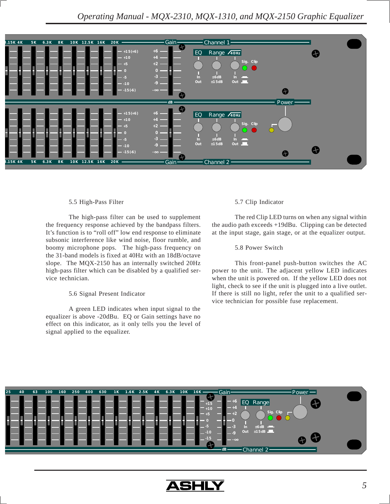

#### 5.5 High-Pass Filter

The high-pass filter can be used to supplement the frequency response achieved by the bandpass filters. It's function is to "roll off" low end response to eliminate subsonic interference like wind noise, floor rumble, and boomy microphone pops. The high-pass frequency on the 31-band models is fixed at 40Hz with an 18dB/octave slope. The MQX-2150 has an internally switched 20Hz high-pass filter which can be disabled by a qualified service technician.

#### 5.6 Signal Present Indicator

A green LED indicates when input signal to the equalizer is above -20dBu. EQ or Gain settings have no effect on this indicator, as it only tells you the level of signal applied to the equalizer.

#### 5.7 Clip Indicator

The red Clip LED turns on when any signal within the audio path exceeds +19dBu. Clipping can be detected at the input stage, gain stage, or at the equalizer output.

#### 5.8 Power Switch

This front-panel push-button switches the AC power to the unit. The adjacent yellow LED indicates when the unit is powered on. If the yellow LED does not light, check to see if the unit is plugged into a live outlet. If there is still no light, refer the unit to a qualified service technician for possible fuse replacement.



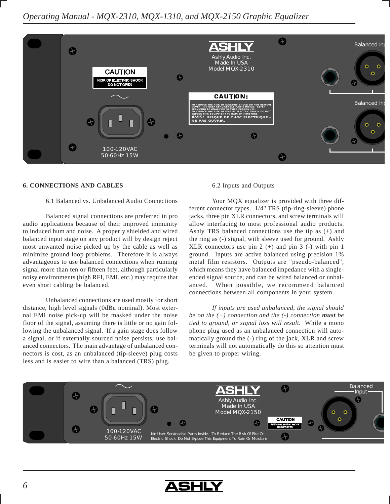

#### **6. CONNECTIONS AND CABLES**

#### 6.1 Balanced vs. Unbalanced Audio Connections

Balanced signal connections are preferred in pro audio applications because of their improved immunity to induced hum and noise. A properly shielded and wired balanced input stage on any product will by design reject most unwanted noise picked up by the cable as well as minimize ground loop problems. Therefore it is always advantageous to use balanced connections when running signal more than ten or fifteen feet, although particularly noisy environments (high RFI, EMI, etc.) may require that even short cabling be balanced.

Unbalanced connections are used mostly for short distance, high level signals (0dBu nominal). Most external EMI noise pick-up will be masked under the noise floor of the signal, assuming there is little or no gain following the unbalanced signal. If a gain stage does follow a signal, or if externally sourced noise persists, use balanced connectors. The main advantage of unbalanced connectors is cost, as an unbalanced (tip-sleeve) plug costs less and is easier to wire than a balanced (TRS) plug.

#### 6.2 Inputs and Outputs

Your MQX equalizer is provided with three different connector types. 1/4" TRS (tip-ring-sleeve) phone jacks, three pin XLR connectors, and screw terminals will allow interfacing to most professional audio products. Ashly TRS balanced connections use the tip as (+) and the ring as (-) signal, with sleeve used for ground. Ashly XLR connectors use pin 2  $(+)$  and pin 3  $(-)$  with pin 1 ground. Inputs are active balanced using precision 1% metal film resistors. Outputs are "pseudo-balanced", which means they have balanced impedance with a singleended signal source, and can be wired balanced or unbalanced. When possible, we recommend balanced connections between all components in your system.

*If inputs are used unbalanced, the signal should be on the (+) connection and the (-) connection must be tied to ground, or signal loss will result.* While a mono phone plug used as an unbalanced connection will automatically ground the (-) ring of the jack, XLR and screw terminals will not automatically do this so attention must be given to proper wiring.



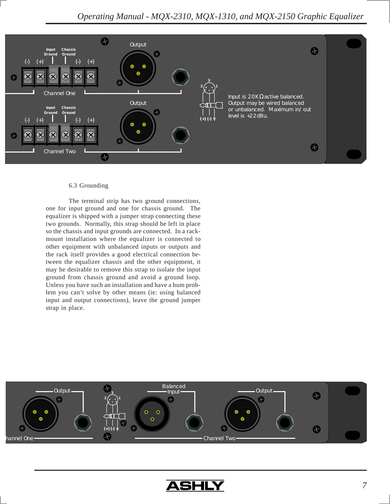

#### 6.3 Grounding

The terminal strip has two ground connections, one for input ground and one for chassis ground. The equalizer is shipped with a jumper strap connecting these two grounds. Normally, this strap should be left in place so the chassis and input grounds are connected. In a rackmount installation where the equalizer is connected to other equipment with unbalanced inputs or outputs and the rack itself provides a good electrical connection between the equalizer chassis and the other equipment, it may be desirable to remove this strap to isolate the input ground from chassis ground and avoid a ground loop. Unless you have such an installation and have a hum problem you can't solve by other means (ie: using balanced input and output connections), leave the ground jumper strap in place.



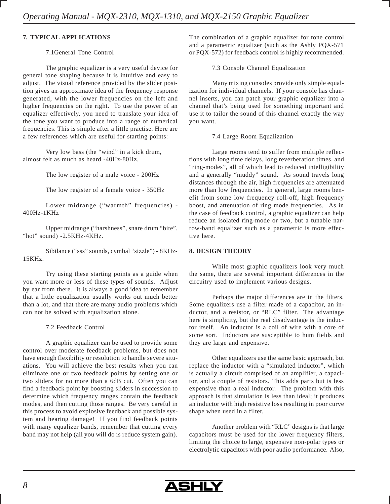#### **7. TYPICAL APPLICATIONS**

#### 7.1General Tone Control

The graphic equalizer is a very useful device for general tone shaping because it is intuitive and easy to adjust. The visual reference provided by the slider position gives an approximate idea of the frequency response generated, with the lower frequencies on the left and higher frequencies on the right. To use the power of an equalizer effectively, you need to translate your idea of the tone you want to produce into a range of numerical frequencies. This is simple after a little practise. Here are a few references which are useful for starting points:

Very low bass (the "wind" in a kick drum, almost felt as much as heard -40Hz-80Hz.

The low register of a male voice - 200Hz

The low register of a female voice - 350Hz

Lower midrange ("warmth" frequencies) -400Hz-1KHz

Upper midrange ("harshness", snare drum "bite", "hot" sound) -2.5KHz-4KHz.

Sibilance ("sss" sounds, cymbal "sizzle") - 8KHz-15KHz.

Try using these starting points as a guide when you want more or less of these types of sounds. Adjust by ear from there. It is always a good idea to remember that a little equalization usually works out much better than a lot, and that there are many audio problems which can not be solved with equalization alone.

7.2 Feedback Control

A graphic equalizer can be used to provide some control over moderate feedback problems, but does not have enough flexibility or resolution to handle severe situations. You will achieve the best results when you can eliminate one or two feedback points by setting one or two sliders for no more than a 6dB cut. Often you can find a feedback point by boosting sliders in succession to determine which frequency ranges contain the feedback modes, and then cutting those ranges. Be very careful in this process to avoid explosive feedback and possible system and hearing damage! If you find feedback points with many equalizer bands, remember that cutting every band may not help (all you will do is reduce system gain).

The combination of a graphic equalizer for tone control and a parametric equalizer (such as the Ashly PQX-571 or PQX-572) for feedback control is highly recommended.

7.3 Console Channel Equalization

Many mixing consoles provide only simple equalization for individual channels. If your console has channel inserts, you can patch your graphic equalizer into a channel that's being used for something important and use it to tailor the sound of this channel exactly the way you want.

#### 7.4 Large Room Equalization

Large rooms tend to suffer from multiple reflections with long time delays, long reverberation times, and "ring-modes", all of which lead to reduced intelligibility and a generally "muddy" sound. As sound travels long distances through the air, high frequencies are attenuated more than low frequencies. In general, large rooms benefit from some low frequency roll-off, high frequency boost, and attenuation of ring mode frequencies. As in the case of feedback control, a graphic equalizer can help reduce an isolated ring-mode or two, but a tunable narrow-band equalizer such as a parametric is more effective here.

#### **8. DESIGN THEORY**

While most graphic equalizers look very much the same, there are several important differences in the circuitry used to implement various designs.

Perhaps the major differences are in the filters. Some equalizers use a filter made of a capacitor, an inductor, and a resistor, or "RLC" filter. The advantage here is simplicity, but the real disadvantage is the inductor itself. An inductor is a coil of wire with a core of some sort. Inductors are susceptible to hum fields and they are large and expensive.

Other equalizers use the same basic approach, but replace the inductor with a "simulated inductor", which is actually a circuit comprised of an amplifier, a capacitor, and a couple of resistors. This adds parts but is less expensive than a real inductor. The problem with this approach is that simulation is less than ideal; it produces an inductor with high resistive loss resulting in poor curve shape when used in a filter.

Another problem with "RLC" designs is that large capacitors must be used for the lower frequency filters, limiting the choice to large, expensive non-polar types or electrolytic capacitors with poor audio performance. Also,

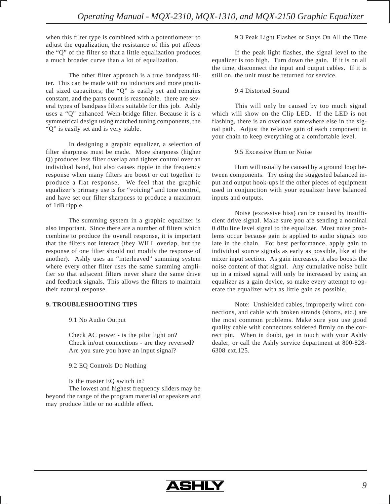when this filter type is combined with a potentiometer to adjust the equalization, the resistance of this pot affects the "Q" of the filter so that a little equalization produces a much broader curve than a lot of equalization.

The other filter approach is a true bandpass filter. This can be made with no inductors and more practical sized capacitors; the "Q" is easily set and remains constant, and the parts count is reasonable. there are several types of bandpass filters suitable for this job. Ashly uses a "Q" enhanced Wein-bridge filter. Because it is a symmetrical design using matched tuning components, the "Q" is easily set and is very stable.

In designing a graphic equalizer, a selection of filter sharpness must be made. More sharpness (higher Q) produces less filter overlap and tighter control over an individual band, but also causes ripple in the frequency response when many filters are boost or cut together to produce a flat response. We feel that the graphic equalizer's primary use is for "voicing" and tone control, and have set our filter sharpness to produce a maximum of 1dB ripple.

The summing system in a graphic equalizer is also important. Since there are a number of filters which combine to produce the overall response, it is important that the filters not interact (they WILL overlap, but the response of one filter should not modify the response of another). Ashly uses an "interleaved" summing system where every other filter uses the same summing amplifier so that adjacent filters never share the same drive and feedback signals. This allows the filters to maintain their natural response.

#### **9. TROUBLESHOOTING TIPS**

9.1 No Audio Output

Check AC power - is the pilot light on? Check in/out connections - are they reversed? Are you sure you have an input signal?

9.2 EQ Controls Do Nothing

Is the master EQ switch in?

The lowest and highest frequency sliders may be beyond the range of the program material or speakers and may produce little or no audible effect.

9.3 Peak Light Flashes or Stays On All the Time

If the peak light flashes, the signal level to the equalizer is too high. Turn down the gain. If it is on all the time, disconnect the input and output cables. If it is still on, the unit must be returned for service.

9.4 Distorted Sound

This will only be caused by too much signal which will show on the Clip LED. If the LED is not flashing, there is an overload somewhere else in the signal path. Adjust the relative gain of each component in your chain to keep everything at a comfortable level.

9.5 Excessive Hum or Noise

Hum will usually be caused by a ground loop between components. Try using the suggested balanced input and output hook-ups if the other pieces of equipment used in conjunction with your equalizer have balanced inputs and outputs.

Noise (excessive hiss) can be caused by insufficient drive signal. Make sure you are sending a nominal 0 dBu line level signal to the equalizer. Most noise problems occur because gain is applied to audio signals too late in the chain. For best performance, apply gain to individual source signals as early as possible, like at the mixer input section. As gain increases, it also boosts the noise content of that signal. Any cumulative noise built up in a mixed signal will only be increased by using an equalizer as a gain device, so make every attempt to operate the equalizer with as little gain as possible.

Note: Unshielded cables, improperly wired connections, and cable with broken strands (shorts, etc.) are the most common problems. Make sure you use good quality cable with connectors soldered firmly on the correct pin. When in doubt, get in touch with your Ashly dealer, or call the Ashly service department at 800-828- 6308 ext.125.

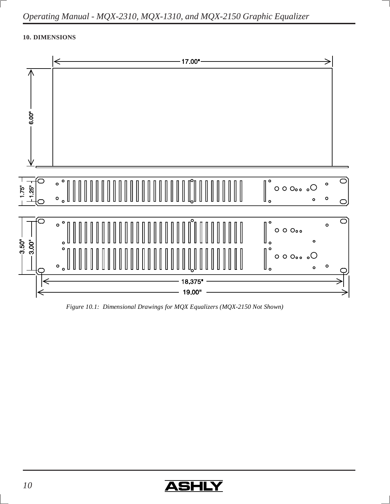### **10. DIMENSIONS**



*Figure 10.1: Dimensional Drawings for MQX Equalizers (MQX-2150 Not Shown)*

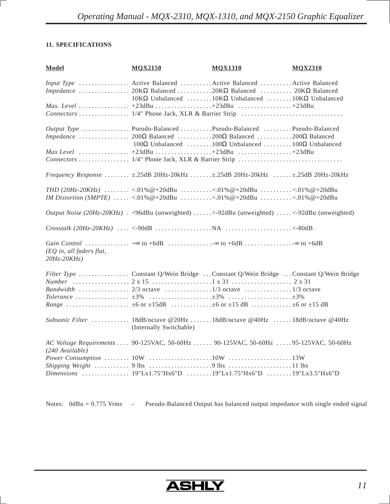#### **11. SPECIFICATIONS**

| <b>Model</b>                                                                                                                                        | <b>MQX2150</b>          | <b>MQX1310</b>                                                         | <b>MQX2310</b> |
|-----------------------------------------------------------------------------------------------------------------------------------------------------|-------------------------|------------------------------------------------------------------------|----------------|
| Input Type  Active Balanced Active Balanced Active Balanced<br>Max. Level  +23dBu +23dBu +23dBu<br>Connectors  1/4" Phone Jack, XLR & Barrier Strip |                         | $10K\Omega$ Unbalanced 10 $K\Omega$ Unbalanced 10 $K\Omega$ Unbalanced |                |
| Output Type  Pseudo-Balanced Pseudo-Balanced Pseudo-Balanced                                                                                        |                         | 100Ω Unbalanced 100Ω Unbalanced 100Ω Unbalanced                        |                |
| Frequency Response  ±.25dB 20Hz-20kHz ±.25dB 20Hz-20kHz ±.25dB 20Hz-20kHz                                                                           |                         |                                                                        |                |
| THD $(20Hz - 20KHz)$ < 01% @ + 20dBu  < 01% @ + 20dBu  < 01% @ + 20dBu<br><i>IM Distortion (SMPTE)</i> <.01% @+20dBu  <.01% @+20dBu  <.01% @+20dBu  |                         |                                                                        |                |
| Output Noise (20Hz-20KHz) . <96dBu (unweighted) <-92dBu (unweighted) <-92dBu (unweighted)                                                           |                         |                                                                        |                |
|                                                                                                                                                     |                         |                                                                        |                |
| $(EQ$ in, all faders flat,<br>$20Hz - 20KHz$                                                                                                        |                         |                                                                        |                |
|                                                                                                                                                     |                         |                                                                        |                |
| Subsonic Filter  18dB/octave @20Hz 18dB/octave @40Hz 18dB/octave @40Hz                                                                              | (Internally Switchable) |                                                                        |                |
| AC Voltage Requirements  90-125VAC, 50-60Hz  90-125VAC, 50-60Hz  95-125VAC, 50-60Hz<br>(240 Available)                                              |                         |                                                                        |                |
|                                                                                                                                                     |                         |                                                                        |                |

Notes: 0dBu = 0.775 Vrms - Pseudo-Balanced Output has balanced output impedance with single ended signal

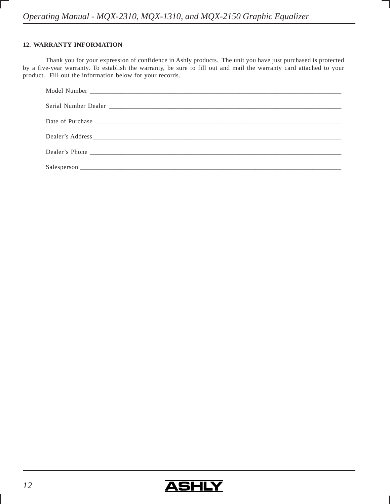#### **12. WARRANTY INFORMATION**

Thank you for your expression of confidence in Ashly products. The unit you have just purchased is protected by a five-year warranty. To establish the warranty, be sure to fill out and mail the warranty card attached to your product. Fill out the information below for your records.

| Dealer's Phone |  |
|----------------|--|
|                |  |

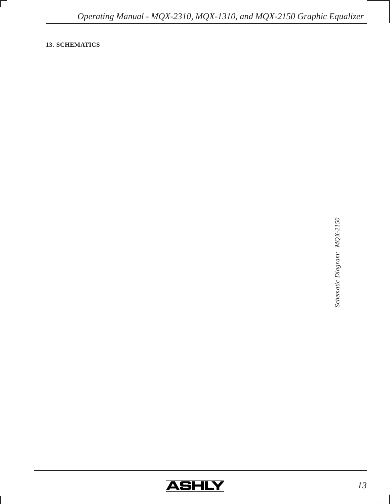## **13. SCHEMATICS**

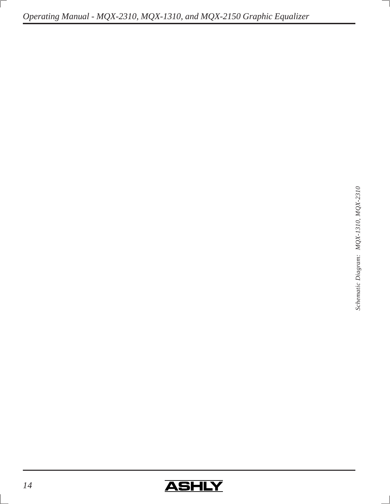*Operating Manual - MQX-2310, MQX-1310, and MQX-2150 Graphic Equalizer*

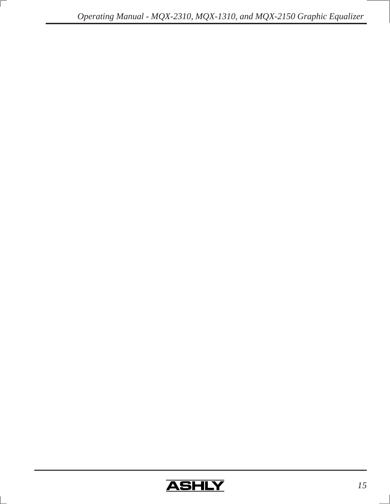